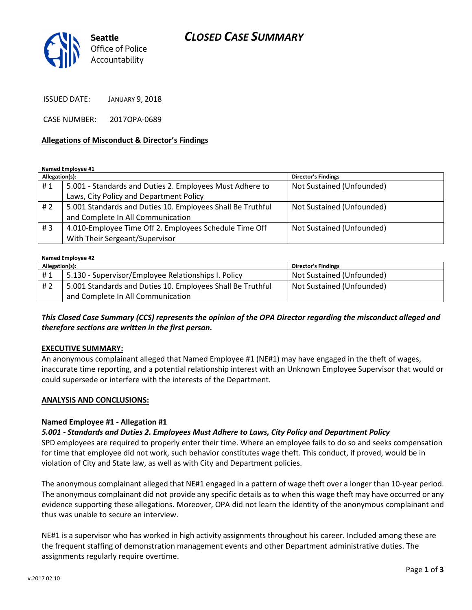# CLOSED CASE SUMMARY



ISSUED DATE: JANUARY 9, 2018

CASE NUMBER: 2017OPA-0689

#### Allegations of Misconduct & Director's Findings

Named Employee #1

| Allegation(s): |                                                            | <b>Director's Findings</b> |
|----------------|------------------------------------------------------------|----------------------------|
| #1             | 5.001 - Standards and Duties 2. Employees Must Adhere to   | Not Sustained (Unfounded)  |
|                | Laws, City Policy and Department Policy                    |                            |
| #2             | 5.001 Standards and Duties 10. Employees Shall Be Truthful | Not Sustained (Unfounded)  |
|                | and Complete In All Communication                          |                            |
| #3             | 4.010-Employee Time Off 2. Employees Schedule Time Off     | Not Sustained (Unfounded)  |
|                | With Their Sergeant/Supervisor                             |                            |

#### Named Employee #2

| Allegation(s): |                                                            | <b>Director's Findings</b> |
|----------------|------------------------------------------------------------|----------------------------|
| #1             | 5.130 - Supervisor/Employee Relationships I. Policy        | Not Sustained (Unfounded)  |
| # 2            | 5.001 Standards and Duties 10. Employees Shall Be Truthful | Not Sustained (Unfounded)  |
|                | and Complete In All Communication                          |                            |

This Closed Case Summary (CCS) represents the opinion of the OPA Director regarding the misconduct alleged and therefore sections are written in the first person.

#### EXECUTIVE SUMMARY:

An anonymous complainant alleged that Named Employee #1 (NE#1) may have engaged in the theft of wages, inaccurate time reporting, and a potential relationship interest with an Unknown Employee Supervisor that would or could supersede or interfere with the interests of the Department.

#### ANALYSIS AND CONCLUSIONS:

### Named Employee #1 - Allegation #1

5.001 - Standards and Duties 2. Employees Must Adhere to Laws, City Policy and Department Policy

SPD employees are required to properly enter their time. Where an employee fails to do so and seeks compensation for time that employee did not work, such behavior constitutes wage theft. This conduct, if proved, would be in violation of City and State law, as well as with City and Department policies.

The anonymous complainant alleged that NE#1 engaged in a pattern of wage theft over a longer than 10-year period. The anonymous complainant did not provide any specific details as to when this wage theft may have occurred or any evidence supporting these allegations. Moreover, OPA did not learn the identity of the anonymous complainant and thus was unable to secure an interview.

NE#1 is a supervisor who has worked in high activity assignments throughout his career. Included among these are the frequent staffing of demonstration management events and other Department administrative duties. The assignments regularly require overtime.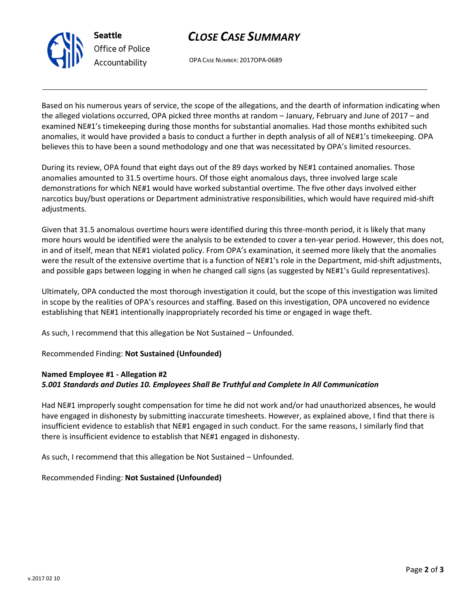

Seattle Office of Police Accountability

# CLOSE CASE SUMMARY

OPA CASE NUMBER: 2017OPA-0689

Based on his numerous years of service, the scope of the allegations, and the dearth of information indicating when the alleged violations occurred, OPA picked three months at random – January, February and June of 2017 – and examined NE#1's timekeeping during those months for substantial anomalies. Had those months exhibited such anomalies, it would have provided a basis to conduct a further in depth analysis of all of NE#1's timekeeping. OPA believes this to have been a sound methodology and one that was necessitated by OPA's limited resources.

During its review, OPA found that eight days out of the 89 days worked by NE#1 contained anomalies. Those anomalies amounted to 31.5 overtime hours. Of those eight anomalous days, three involved large scale demonstrations for which NE#1 would have worked substantial overtime. The five other days involved either narcotics buy/bust operations or Department administrative responsibilities, which would have required mid-shift adjustments.

Given that 31.5 anomalous overtime hours were identified during this three-month period, it is likely that many more hours would be identified were the analysis to be extended to cover a ten-year period. However, this does not, in and of itself, mean that NE#1 violated policy. From OPA's examination, it seemed more likely that the anomalies were the result of the extensive overtime that is a function of NE#1's role in the Department, mid-shift adjustments, and possible gaps between logging in when he changed call signs (as suggested by NE#1's Guild representatives).

Ultimately, OPA conducted the most thorough investigation it could, but the scope of this investigation was limited in scope by the realities of OPA's resources and staffing. Based on this investigation, OPA uncovered no evidence establishing that NE#1 intentionally inappropriately recorded his time or engaged in wage theft.

As such, I recommend that this allegation be Not Sustained – Unfounded.

Recommended Finding: Not Sustained (Unfounded)

### Named Employee #1 - Allegation #2

# 5.001 Standards and Duties 10. Employees Shall Be Truthful and Complete In All Communication

Had NE#1 improperly sought compensation for time he did not work and/or had unauthorized absences, he would have engaged in dishonesty by submitting inaccurate timesheets. However, as explained above, I find that there is insufficient evidence to establish that NE#1 engaged in such conduct. For the same reasons, I similarly find that there is insufficient evidence to establish that NE#1 engaged in dishonesty.

As such, I recommend that this allegation be Not Sustained – Unfounded.

Recommended Finding: Not Sustained (Unfounded)